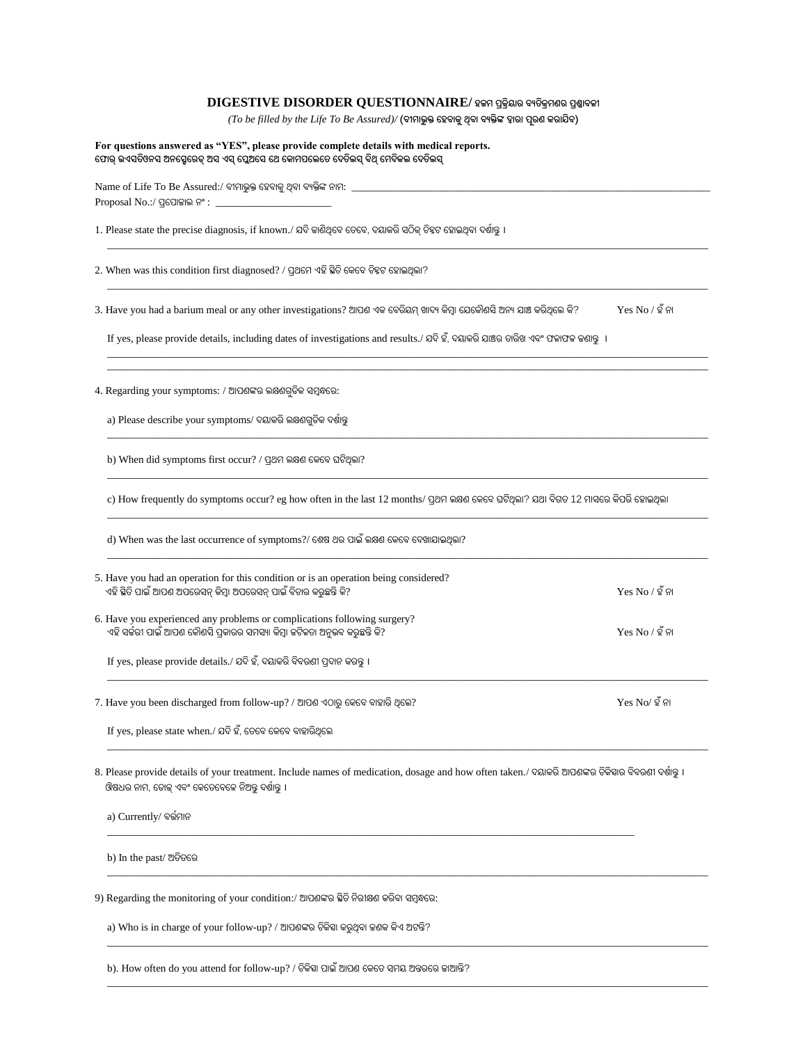# **DIGESTIVE DISORDER QUESTIONNAIRE/ ହଜମ ପ୍ରକ୍ରିୟାର ବ୍ୟତିକ୍ରମଣର ପ୍ରଶ୍ନାବ୍ଳୀ**

*(To be filled by the Life To Be Assured)/* **(ବ୍ୀମାଭୁକ୍ତ ହହବ୍ାକୁଥିବ୍ା ବ୍ୟକ୍ତିଙ୍କ ଦ୍ୱାରା ପରୂ ଣ କରାଯିବ୍)**

\_\_\_\_\_\_\_\_\_\_\_\_\_\_\_\_\_\_\_\_\_\_\_\_\_\_\_\_\_\_\_\_\_\_\_\_\_\_\_\_\_\_\_\_\_\_\_\_\_\_\_\_\_\_\_\_\_\_\_\_\_\_\_\_\_\_\_\_\_\_\_\_\_\_\_\_\_\_\_\_\_\_\_\_\_\_\_\_\_\_\_\_\_\_\_\_\_\_\_\_\_\_\_\_\_\_\_\_\_\_\_\_\_\_

\_\_\_\_\_\_\_\_\_\_\_\_\_\_\_\_\_\_\_\_\_\_\_\_\_\_\_\_\_\_\_\_\_\_\_\_\_\_\_\_\_\_\_\_\_\_\_\_\_\_\_\_\_\_\_\_\_\_\_\_\_\_\_\_\_\_\_\_\_\_\_\_\_\_\_\_\_\_\_\_\_\_\_\_\_\_\_\_\_\_\_\_\_\_\_\_\_\_\_\_\_\_\_\_\_\_\_\_\_\_\_\_\_\_

\_\_\_\_\_\_\_\_\_\_\_\_\_\_\_\_\_\_\_\_\_\_\_\_\_\_\_\_\_\_\_\_\_\_\_\_\_\_\_\_\_\_\_\_\_\_\_\_\_\_\_\_\_\_\_\_\_\_\_\_\_\_\_\_\_\_\_\_\_\_\_\_\_\_\_\_\_\_\_\_\_\_\_\_\_\_\_\_\_\_\_\_\_\_\_\_\_\_\_\_\_\_\_\_\_\_\_\_\_\_\_\_\_\_ \_\_\_\_\_\_\_\_\_\_\_\_\_\_\_\_\_\_\_\_\_\_\_\_\_\_\_\_\_\_\_\_\_\_\_\_\_\_\_\_\_\_\_\_\_\_\_\_\_\_\_\_\_\_\_\_\_\_\_\_\_\_\_\_\_\_\_\_\_\_\_\_\_\_\_\_\_\_\_\_\_\_\_\_\_\_\_\_\_\_\_\_\_\_\_\_\_\_\_\_\_\_\_\_\_\_\_\_\_\_\_\_\_\_

 $\_$  ,  $\_$  ,  $\_$  ,  $\_$  ,  $\_$  ,  $\_$  ,  $\_$  ,  $\_$  ,  $\_$  ,  $\_$  ,  $\_$  ,  $\_$  ,  $\_$  ,  $\_$  ,  $\_$  ,  $\_$  ,  $\_$  ,  $\_$  ,  $\_$  ,  $\_$  ,  $\_$  ,  $\_$  ,  $\_$  ,  $\_$  ,  $\_$  ,  $\_$  ,  $\_$  ,  $\_$  ,  $\_$  ,  $\_$  ,  $\_$  ,  $\_$  ,  $\_$  ,  $\_$  ,  $\_$  ,  $\_$  ,  $\_$  ,

\_\_\_\_\_\_\_\_\_\_\_\_\_\_\_\_\_\_\_\_\_\_\_\_\_\_\_\_\_\_\_\_\_\_\_\_\_\_\_\_\_\_\_\_\_\_\_\_\_\_\_\_\_\_\_\_\_\_\_\_\_\_\_\_\_\_\_\_\_\_\_\_\_\_\_\_\_\_\_\_\_\_\_\_\_\_\_\_\_\_\_\_\_\_\_\_\_\_\_\_\_\_\_\_\_\_\_\_\_\_\_\_\_\_

\_\_\_\_\_\_\_\_\_\_\_\_\_\_\_\_\_\_\_\_\_\_\_\_\_\_\_\_\_\_\_\_\_\_\_\_\_\_\_\_\_\_\_\_\_\_\_\_\_\_\_\_\_\_\_\_\_\_\_\_\_\_\_\_\_\_\_\_\_\_\_\_\_\_\_\_\_\_\_\_\_\_\_\_\_\_\_\_\_\_\_\_\_\_\_\_\_\_\_\_\_\_\_\_\_\_\_\_\_\_\_\_\_\_

\_\_\_\_\_\_\_\_\_\_\_\_\_\_\_\_\_\_\_\_\_\_\_\_\_\_\_\_\_\_\_\_\_\_\_\_\_\_\_\_\_\_\_\_\_\_\_\_\_\_\_\_\_\_\_\_\_\_\_\_\_\_\_\_\_\_\_\_\_\_\_\_\_\_\_\_\_\_\_\_\_\_\_\_\_\_\_\_\_\_\_\_\_\_\_\_\_\_\_\_\_\_\_\_\_\_\_\_\_\_\_\_\_\_

#### **For questions answered as "YES", please provide complete details with medical reports. ହ ାର୍ ଉଏସତିଓନସ ଅନହସେହରଡ୍ ଅସ ଏସ୍ ହପେଅହସ ହେ ହକାମପହେହତ ହେତିେସ୍ ବ୍ିଥ୍ ହମେିକେ ହେତିେସ୍**

 $N$ ame of Life To Be Assured:/ ବୀମାଭୁକ୍ତ ହେବାକୁ ଥିବା ବ୍ୟକ୍ତିଙ୍କ ନାମ:  $\Box$  $Proposal No.$ :/ ପ୍ରପୋଜାଲ ନଂ : \_

1. Please state the precise diagnosis, if known./ ଯଦି ଜାଣିଥିହବ ହେହବ, ଦୟାକରି ସଠିକ୍ ଚିହ୍ନଟ ହୋଇଥିବା ଦର୍ଶାନ୍ତୁ ।

2. When was this condition first diagnosed? / ପ୍ରଥମେ ଏହି ସ୍ଥିତି କେବେ ଚିହ୍ନଟ ହୋଇଥିଲା?

3. Have you had a barium meal or any other investigations? ଆପଶ ଏକ ବେରିୟମ୍ ଖାଦ୍ୟ କିମ୍ବା ଯେକୌଣସି ଅନ୍ୟ ଯାଞ୍ଚ କରିଥିଲେ କି? Yes No / ହଁ ନା

 $I$ f yes, please provide details, including dates of investigations and results./ ଯଦି ହ,ଁ ଦୟାକରି ଯାଞ୍ଚର ତାରିଖ ଏବଂ ଫଳାଫଳ ଜଣାନ୍ତୁ ।

4. Regarding your symptoms: / ଆପଶଙ୍କର ଲକ୍ଷଣଗୁଡିକ ସମ୍ବନ୍ଧରେ:

a) Please describe your symptoms/ ଦୟାକରିଲକ୍ଷଣଗୁଡକି ଦର୍ଶାନ୍ତୁ

b) When did symptoms first occur? / ପ୍ରଥମ ଲକ୍ଷଣ ହକହବ ଘଟିଥିଲା?

c) How frequently do symptoms occur? eg how often in the last 12 months/ ପ୍ରଥମ ଲକ୍ଷଣ କେବେ ଘଟିଥିଲା? ଯଥା ବିଗତ 12 ମାସରେ କିପରି ହୋଇଥିଲା

d) When was the last occurrence of symptoms?/ ହର୍ଷ ଥର ାଇଁ ଲକ୍ଷଣ ହକହବ ହଦଖାଯାଇଥିଲା?

| 5. Have you had an operation for this condition or is an operation being considered?<br>ଏହି ସ୍ଥିତି ପାଇଁ ଆପଣ ଅପରେସନ୍ କିମ୍ବା ଅପରେସନ୍ ପାଇଁ ବିଚାର କରୁଛନ୍ତି କି? | $Yes No / $9$ ନା |
|------------------------------------------------------------------------------------------------------------------------------------------------------------|------------------|
| 6. Have you experienced any problems or complications following surgery?<br>ଏହି ସର୍ଚ୍ଚରୀ ପାଇଁ ଆପଶ କୌଶସି ପ୍ରକାରର ସମସ୍ୟା କିମ୍ବା ଜଟିଳତା ଅନୁଭବ କରୁଛନ୍ତି କି?    | $Yes No / $9$ ନା |
| If yes, please provide details./ ଯଦି ହଁ, ଦୟାକରି ବିବରଣୀ ପ୍ରଦାନ କରନ୍ତ ।                                                                                      |                  |

7. Have you been discharged from follow-up? / ଆପଣ ଏଠାରୁ କେବେ ବାହାରି ଥିଲେ?  $\frac{1}{2}$  web  $\frac{1}{2}$  web  $\frac{1}{2}$  web  $\frac{1}{2}$   $\frac{1}{2}$  en

If yes, please state when./ ଯଦି ହଁ, ତେବେ କେବେ ବାହାରିଥିଲେ

8. Please provide details of your treatment. Include names of medication, dosage and how often taken./ ବୟାକରି ଆପଶଙ୍କର ଚିକିହାର ବିବରଣୀ ଦର୍ଶାନ୍ତୁ । ଔଷଧର ନାମ, ହଡାଜ୍ ଏବଂ ହକହେହବହଳ ନିଅନ୍ତୁ ଦର୍ଶାନ୍ତୁ ।

\_\_\_\_\_\_\_\_\_\_\_\_\_\_\_\_\_\_\_\_\_\_\_\_\_\_\_\_\_\_\_\_\_\_\_\_\_\_\_\_\_\_\_\_\_\_\_\_\_\_\_\_\_\_\_\_\_\_\_\_\_\_\_\_\_\_\_\_\_\_\_\_\_\_\_\_\_\_\_\_\_\_\_\_\_\_\_\_\_\_\_\_\_\_\_\_\_\_\_\_

\_\_\_\_\_\_\_\_\_\_\_\_\_\_\_\_\_\_\_\_\_\_\_\_\_\_\_\_\_\_\_\_\_\_\_\_\_\_\_\_\_\_\_\_\_\_\_\_\_\_\_\_\_\_\_\_\_\_\_\_\_\_\_\_\_\_\_\_\_\_\_\_\_\_\_\_\_\_\_\_\_\_\_\_\_\_\_\_\_\_\_\_\_\_\_\_\_\_\_\_\_\_\_\_\_\_\_\_\_\_\_\_\_\_

\_\_\_\_\_\_\_\_\_\_\_\_\_\_\_\_\_\_\_\_\_\_\_\_\_\_\_\_\_\_\_\_\_\_\_\_\_\_\_\_\_\_\_\_\_\_\_\_\_\_\_\_\_\_\_\_\_\_\_\_\_\_\_\_\_\_\_\_\_\_\_\_\_\_\_\_\_\_\_\_\_\_\_\_\_\_\_\_\_\_\_\_\_\_\_\_\_\_\_\_\_\_\_\_\_\_\_\_\_\_\_\_\_\_

\_\_\_\_\_\_\_\_\_\_\_\_\_\_\_\_\_\_\_\_\_\_\_\_\_\_\_\_\_\_\_\_\_\_\_\_\_\_\_\_\_\_\_\_\_\_\_\_\_\_\_\_\_\_\_\_\_\_\_\_\_\_\_\_\_\_\_\_\_\_\_\_\_\_\_\_\_\_\_\_\_\_\_\_\_\_\_\_\_\_\_\_\_\_\_\_\_\_\_\_\_\_\_\_\_\_\_\_\_\_\_\_\_\_

 $\_$  ,  $\_$  ,  $\_$  ,  $\_$  ,  $\_$  ,  $\_$  ,  $\_$  ,  $\_$  ,  $\_$  ,  $\_$  ,  $\_$  ,  $\_$  ,  $\_$  ,  $\_$  ,  $\_$  ,  $\_$  ,  $\_$  ,  $\_$  ,  $\_$  ,  $\_$  ,  $\_$  ,  $\_$  ,  $\_$  ,  $\_$  ,  $\_$  ,  $\_$  ,  $\_$  ,  $\_$  ,  $\_$  ,  $\_$  ,  $\_$  ,  $\_$  ,  $\_$  ,  $\_$  ,  $\_$  ,  $\_$  ,  $\_$  ,

a) Currently/ ବର୍ତ୍ଶମାନ

b) In the past/ ଅତିତରେ

9) Regarding the monitoring of your condition:/ ଆପଶଙ୍କର ସ୍ଥିତି ନିରୀକ୍ଷଣ କରିବା ସମ୍ବନ୍ଧରେ:

a) Who is in charge of your follow-up? / ଆପଶଙ୍କର ଚିକିହା କରୁଥିବା ଜଣକ କିଏ ଅଟନ୍ତି?

b). How often do you attend for follow-up? / ଚିକିହା ପାଇଁ ଆପଶ କେତେ ସମୟ ଅନ୍ତରରେ ଜାଆନ୍ତି?